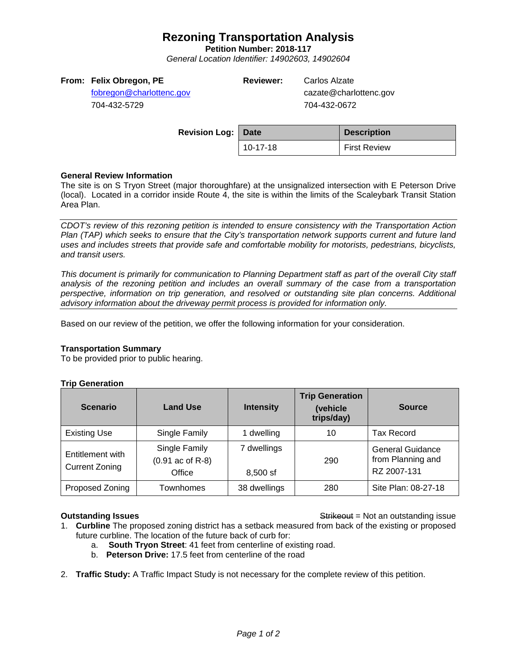# **Rezoning Transportation Analysis**

**Petition Number: 2018-117**

*General Location Identifier: 14902603, 14902604*

# **From: Felix Obregon, PE**

[fobregon@charlottenc.gov](mailto:fobregon@charlottenc.gov) 704-432-5729

**Reviewer:** Carlos Alzate

cazate@charlottenc.gov 704-432-0672

| <b>Revision Log: Date</b> |          | <b>Description</b>  |
|---------------------------|----------|---------------------|
|                           | 10-17-18 | <b>First Review</b> |

# **General Review Information**

The site is on S Tryon Street (major thoroughfare) at the unsignalized intersection with E Peterson Drive (local). Located in a corridor inside Route 4, the site is within the limits of the Scaleybark Transit Station Area Plan.

*CDOT's review of this rezoning petition is intended to ensure consistency with the Transportation Action Plan (TAP) which seeks to ensure that the City's transportation network supports current and future land uses and includes streets that provide safe and comfortable mobility for motorists, pedestrians, bicyclists, and transit users.*

*This document is primarily for communication to Planning Department staff as part of the overall City staff analysis of the rezoning petition and includes an overall summary of the case from a transportation perspective, information on trip generation, and resolved or outstanding site plan concerns. Additional advisory information about the driveway permit process is provided for information only.*

Based on our review of the petition, we offer the following information for your consideration.

### **Transportation Summary**

To be provided prior to public hearing.

### **Trip Generation**

| <b>Scenario</b>                           | <b>Land Use</b>                               | <b>Intensity</b>          | <b>Trip Generation</b><br>(vehicle<br>trips/day) | <b>Source</b>                                        |
|-------------------------------------------|-----------------------------------------------|---------------------------|--------------------------------------------------|------------------------------------------------------|
| <b>Existing Use</b>                       | Single Family                                 | 1 dwelling                | 10                                               | <b>Tax Record</b>                                    |
| Entitlement with<br><b>Current Zoning</b> | Single Family<br>$(0.91$ ac of R-8)<br>Office | 7 dwellings<br>$8.500$ sf | 290                                              | General Guidance<br>from Planning and<br>RZ 2007-131 |
| Proposed Zoning                           | <b>Townhomes</b>                              | 38 dwellings              | 280                                              | Site Plan: 08-27-18                                  |

**Outstanding Issues Contains a Strike of the Strike of Australian Strike of Australian Strike of Australian Strike of Australian Strike of Australian Strike of Australian Strike of Australian Strike of Australian Strike** 

- 1. **Curbline** The proposed zoning district has a setback measured from back of the existing or proposed future curbline. The location of the future back of curb for:
	- a. **South Tryon Street**: 41 feet from centerline of existing road.
	- b. **Peterson Drive:** 17.5 feet from centerline of the road
- 2. **Traffic Study:** A Traffic Impact Study is not necessary for the complete review of this petition.